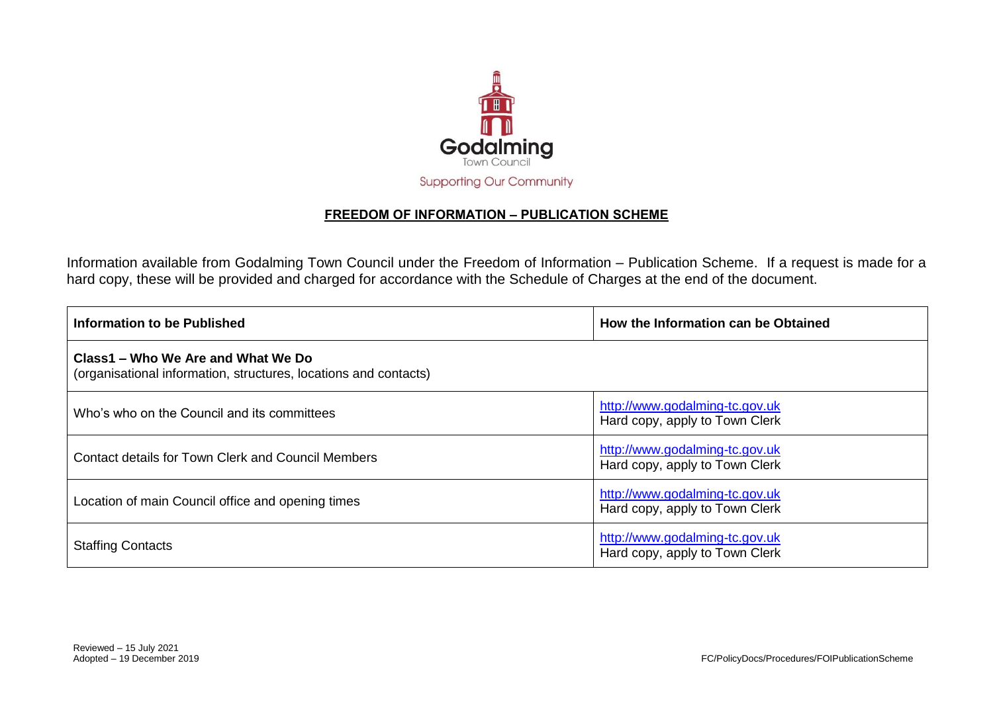

## **FREEDOM OF INFORMATION – PUBLICATION SCHEME**

Information available from Godalming Town Council under the Freedom of Information – Publication Scheme. If a request is made for a hard copy, these will be provided and charged for accordance with the Schedule of Charges at the end of the document.

| Information to be Published                                                                            | How the Information can be Obtained                              |
|--------------------------------------------------------------------------------------------------------|------------------------------------------------------------------|
| Class1 – Who We Are and What We Do<br>(organisational information, structures, locations and contacts) |                                                                  |
| Who's who on the Council and its committees                                                            | http://www.godalming-tc.gov.uk<br>Hard copy, apply to Town Clerk |
| <b>Contact details for Town Clerk and Council Members</b>                                              | http://www.godalming-tc.gov.uk<br>Hard copy, apply to Town Clerk |
| Location of main Council office and opening times                                                      | http://www.godalming-tc.gov.uk<br>Hard copy, apply to Town Clerk |
| <b>Staffing Contacts</b>                                                                               | http://www.godalming-tc.gov.uk<br>Hard copy, apply to Town Clerk |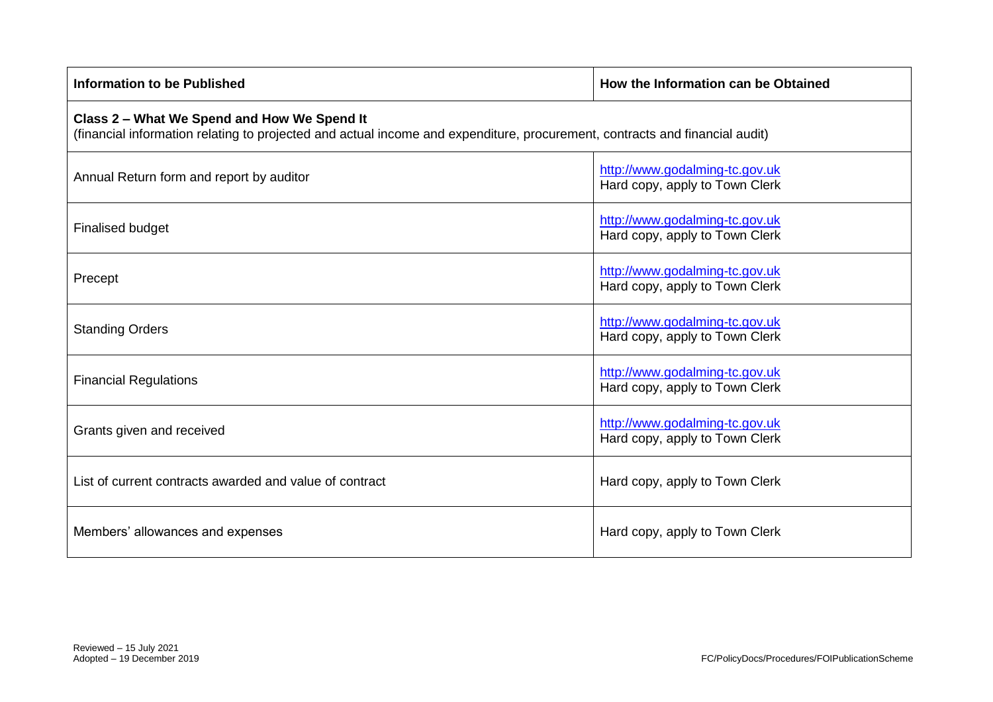| <b>Information to be Published</b>                                                                                                                                         | How the Information can be Obtained                              |
|----------------------------------------------------------------------------------------------------------------------------------------------------------------------------|------------------------------------------------------------------|
| Class 2 - What We Spend and How We Spend It<br>(financial information relating to projected and actual income and expenditure, procurement, contracts and financial audit) |                                                                  |
| Annual Return form and report by auditor                                                                                                                                   | http://www.godalming-tc.gov.uk<br>Hard copy, apply to Town Clerk |
| <b>Finalised budget</b>                                                                                                                                                    | http://www.godalming-tc.gov.uk<br>Hard copy, apply to Town Clerk |
| Precept                                                                                                                                                                    | http://www.godalming-tc.gov.uk<br>Hard copy, apply to Town Clerk |
| <b>Standing Orders</b>                                                                                                                                                     | http://www.godalming-tc.gov.uk<br>Hard copy, apply to Town Clerk |
| <b>Financial Regulations</b>                                                                                                                                               | http://www.godalming-tc.gov.uk<br>Hard copy, apply to Town Clerk |
| Grants given and received                                                                                                                                                  | http://www.godalming-tc.gov.uk<br>Hard copy, apply to Town Clerk |
| List of current contracts awarded and value of contract                                                                                                                    | Hard copy, apply to Town Clerk                                   |
| Members' allowances and expenses                                                                                                                                           | Hard copy, apply to Town Clerk                                   |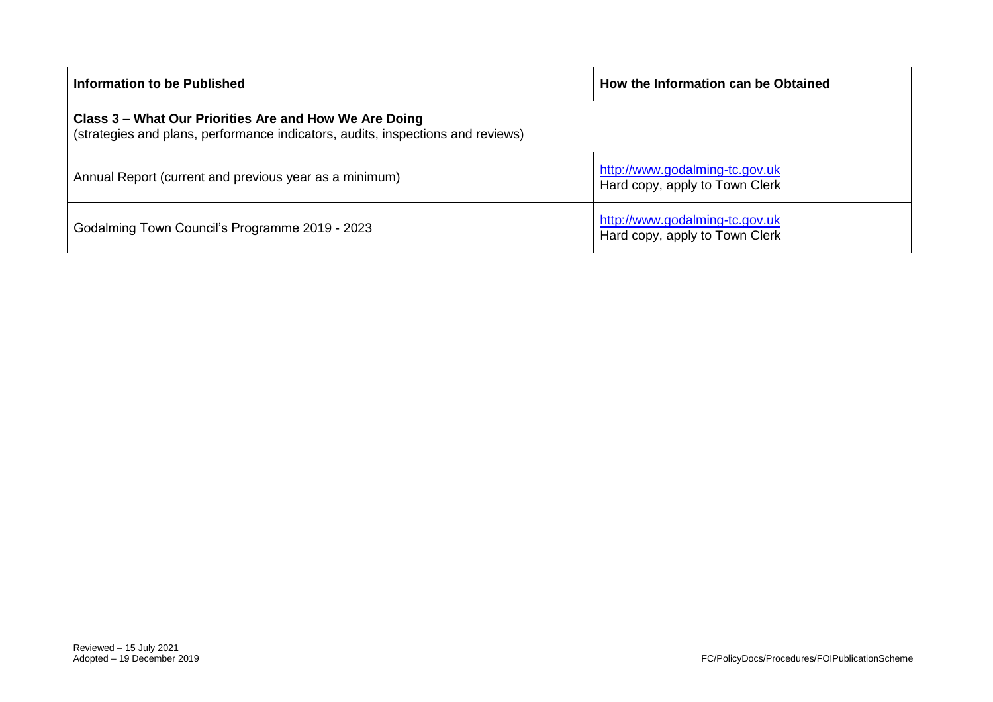| Information to be Published                                                                                                               | How the Information can be Obtained                              |
|-------------------------------------------------------------------------------------------------------------------------------------------|------------------------------------------------------------------|
| Class 3 – What Our Priorities Are and How We Are Doing<br>(strategies and plans, performance indicators, audits, inspections and reviews) |                                                                  |
| Annual Report (current and previous year as a minimum)                                                                                    | http://www.godalming-tc.gov.uk<br>Hard copy, apply to Town Clerk |
| Godalming Town Council's Programme 2019 - 2023                                                                                            | http://www.godalming-tc.gov.uk<br>Hard copy, apply to Town Clerk |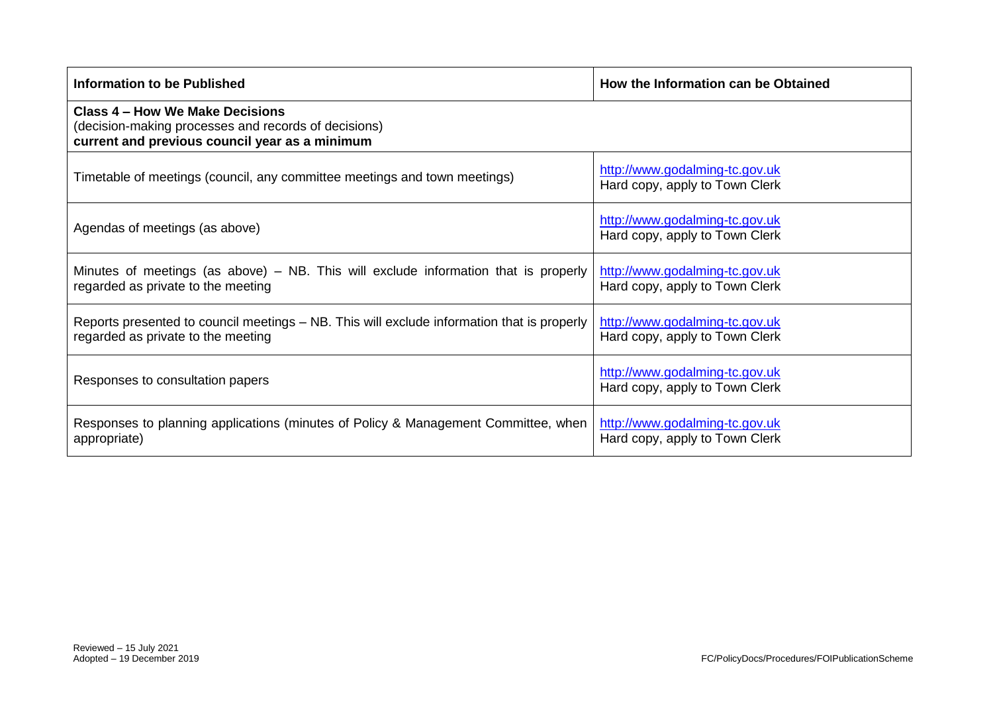| <b>Information to be Published</b>                                                                                                        | How the Information can be Obtained                              |
|-------------------------------------------------------------------------------------------------------------------------------------------|------------------------------------------------------------------|
| Class 4 – How We Make Decisions<br>(decision-making processes and records of decisions)<br>current and previous council year as a minimum |                                                                  |
| Timetable of meetings (council, any committee meetings and town meetings)                                                                 | http://www.godalming-tc.gov.uk<br>Hard copy, apply to Town Clerk |
| Agendas of meetings (as above)                                                                                                            | http://www.godalming-tc.gov.uk<br>Hard copy, apply to Town Clerk |
| Minutes of meetings (as above) – NB. This will exclude information that is properly<br>regarded as private to the meeting                 | http://www.godalming-tc.gov.uk<br>Hard copy, apply to Town Clerk |
| Reports presented to council meetings – NB. This will exclude information that is properly<br>regarded as private to the meeting          | http://www.godalming-tc.gov.uk<br>Hard copy, apply to Town Clerk |
| Responses to consultation papers                                                                                                          | http://www.godalming-tc.gov.uk<br>Hard copy, apply to Town Clerk |
| Responses to planning applications (minutes of Policy & Management Committee, when<br>appropriate)                                        | http://www.godalming-tc.gov.uk<br>Hard copy, apply to Town Clerk |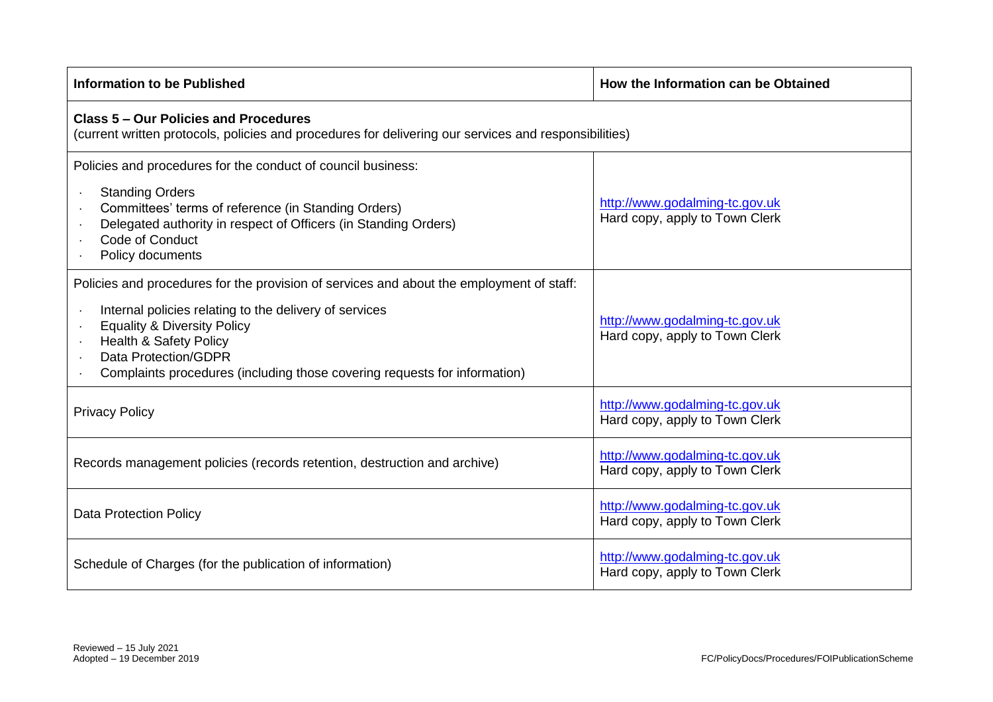| <b>Information to be Published</b>                                                                                                                                                                                                                                                                                                     | How the Information can be Obtained                              |  |
|----------------------------------------------------------------------------------------------------------------------------------------------------------------------------------------------------------------------------------------------------------------------------------------------------------------------------------------|------------------------------------------------------------------|--|
| <b>Class 5 - Our Policies and Procedures</b><br>(current written protocols, policies and procedures for delivering our services and responsibilities)                                                                                                                                                                                  |                                                                  |  |
| Policies and procedures for the conduct of council business:<br><b>Standing Orders</b><br>Committees' terms of reference (in Standing Orders)<br>Delegated authority in respect of Officers (in Standing Orders)<br>Code of Conduct<br>Policy documents                                                                                | http://www.godalming-tc.gov.uk<br>Hard copy, apply to Town Clerk |  |
| Policies and procedures for the provision of services and about the employment of staff:<br>Internal policies relating to the delivery of services<br><b>Equality &amp; Diversity Policy</b><br><b>Health &amp; Safety Policy</b><br>Data Protection/GDPR<br>Complaints procedures (including those covering requests for information) | http://www.godalming-tc.gov.uk<br>Hard copy, apply to Town Clerk |  |
| <b>Privacy Policy</b>                                                                                                                                                                                                                                                                                                                  | http://www.godalming-tc.gov.uk<br>Hard copy, apply to Town Clerk |  |
| Records management policies (records retention, destruction and archive)                                                                                                                                                                                                                                                               | http://www.godalming-tc.gov.uk<br>Hard copy, apply to Town Clerk |  |
| <b>Data Protection Policy</b>                                                                                                                                                                                                                                                                                                          | http://www.godalming-tc.gov.uk<br>Hard copy, apply to Town Clerk |  |
| Schedule of Charges (for the publication of information)                                                                                                                                                                                                                                                                               | http://www.godalming-tc.gov.uk<br>Hard copy, apply to Town Clerk |  |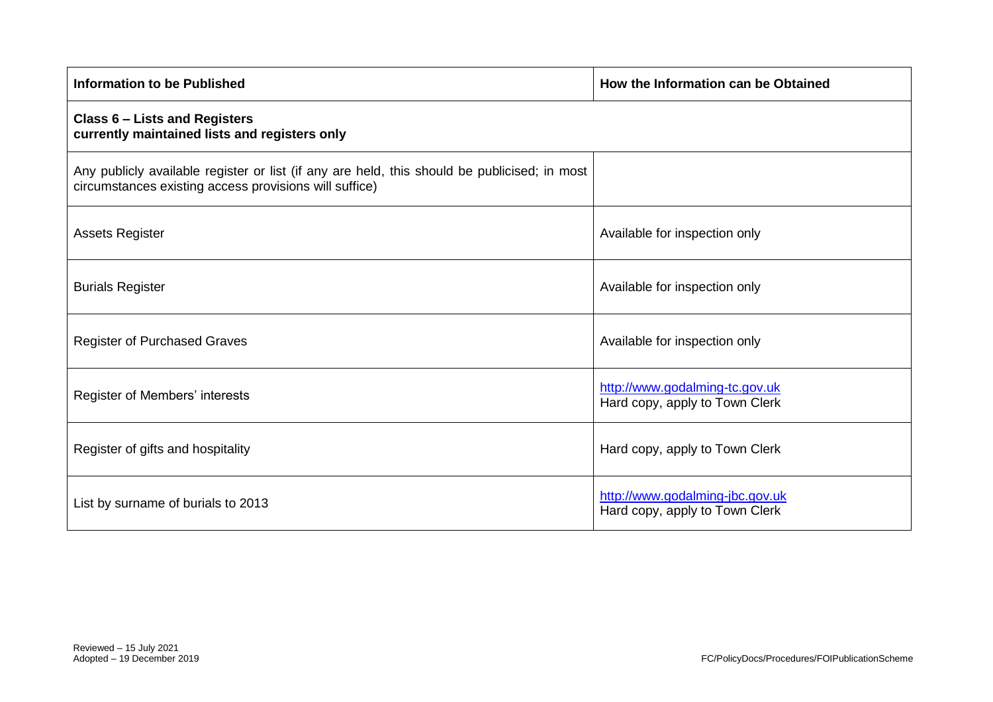| <b>Information to be Published</b>                                                                                                                     | How the Information can be Obtained                               |
|--------------------------------------------------------------------------------------------------------------------------------------------------------|-------------------------------------------------------------------|
| <b>Class 6 - Lists and Registers</b><br>currently maintained lists and registers only                                                                  |                                                                   |
| Any publicly available register or list (if any are held, this should be publicised; in most<br>circumstances existing access provisions will suffice) |                                                                   |
| <b>Assets Register</b>                                                                                                                                 | Available for inspection only                                     |
| <b>Burials Register</b>                                                                                                                                | Available for inspection only                                     |
| <b>Register of Purchased Graves</b>                                                                                                                    | Available for inspection only                                     |
| Register of Members' interests                                                                                                                         | http://www.godalming-tc.gov.uk<br>Hard copy, apply to Town Clerk  |
| Register of gifts and hospitality                                                                                                                      | Hard copy, apply to Town Clerk                                    |
| List by surname of burials to 2013                                                                                                                     | http://www.godalming-jbc.gov.uk<br>Hard copy, apply to Town Clerk |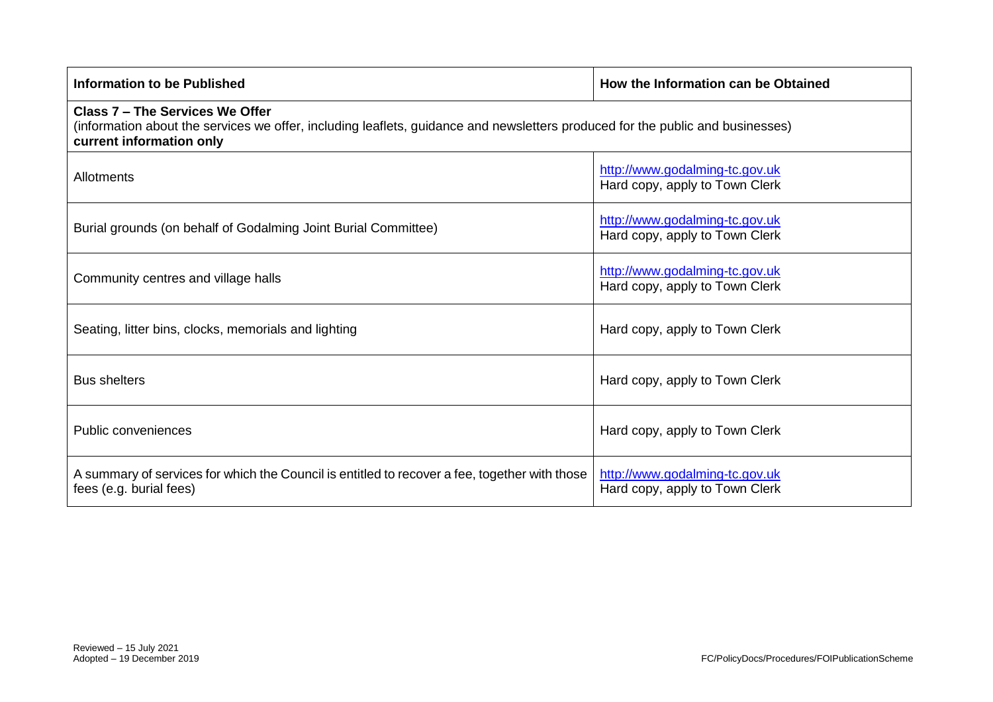| Information to be Published                                                                                                                                                                   | How the Information can be Obtained                              |  |
|-----------------------------------------------------------------------------------------------------------------------------------------------------------------------------------------------|------------------------------------------------------------------|--|
| Class 7 - The Services We Offer<br>(information about the services we offer, including leaflets, guidance and newsletters produced for the public and businesses)<br>current information only |                                                                  |  |
| Allotments                                                                                                                                                                                    | http://www.godalming-tc.gov.uk<br>Hard copy, apply to Town Clerk |  |
| Burial grounds (on behalf of Godalming Joint Burial Committee)                                                                                                                                | http://www.godalming-tc.gov.uk<br>Hard copy, apply to Town Clerk |  |
| Community centres and village halls                                                                                                                                                           | http://www.godalming-tc.gov.uk<br>Hard copy, apply to Town Clerk |  |
| Seating, litter bins, clocks, memorials and lighting                                                                                                                                          | Hard copy, apply to Town Clerk                                   |  |
| <b>Bus shelters</b>                                                                                                                                                                           | Hard copy, apply to Town Clerk                                   |  |
| Public conveniences                                                                                                                                                                           | Hard copy, apply to Town Clerk                                   |  |
| A summary of services for which the Council is entitled to recover a fee, together with those<br>fees (e.g. burial fees)                                                                      | http://www.godalming-tc.gov.uk<br>Hard copy, apply to Town Clerk |  |